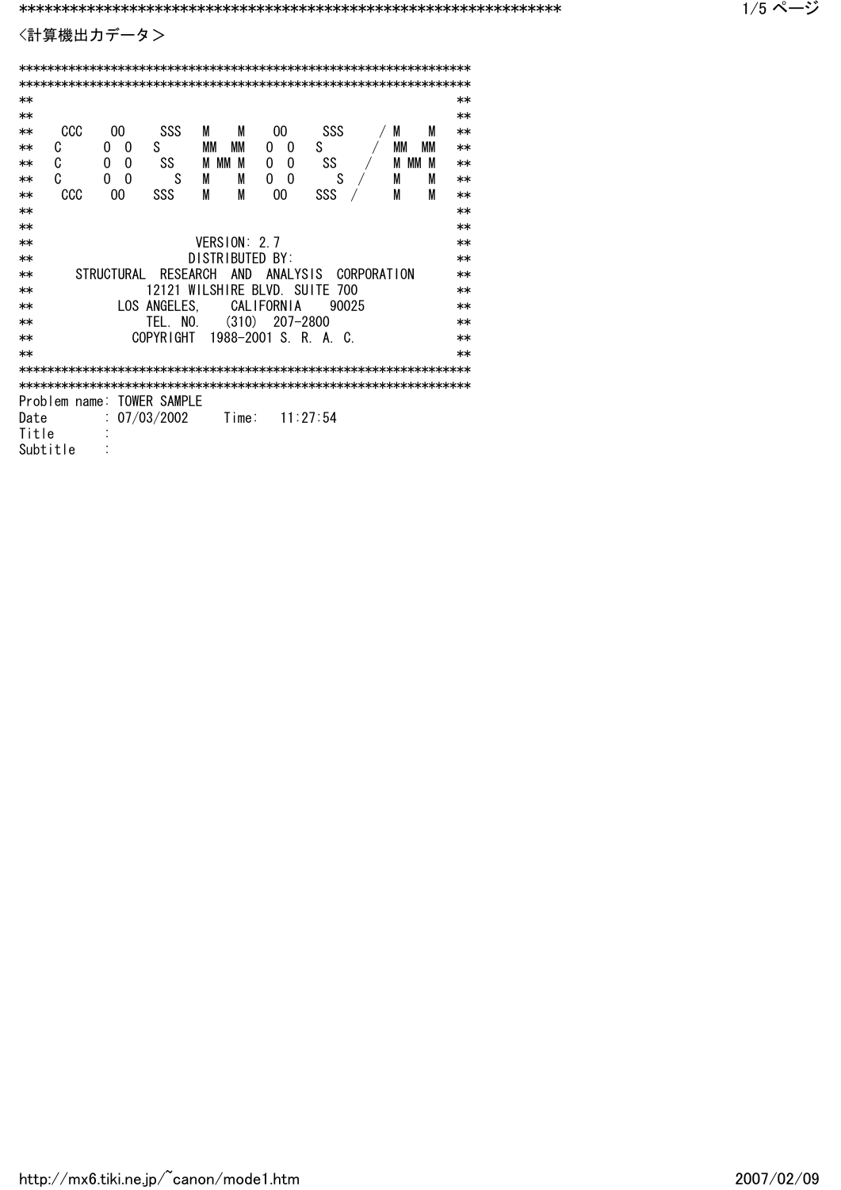〈計算機出力データ>

| $**$ |  |  |  |  |  |
|------|--|--|--|--|--|
| $**$ |  |  |  |  |  |
| $**$ |  |  |  |  |  |
| $**$ |  |  |  |  |  |
| $**$ |  |  |  |  |  |
| $**$ |  |  |  |  |  |
| $**$ |  |  |  |  |  |
| $**$ |  |  |  |  |  |
| $**$ |  |  |  |  |  |
| $**$ |  |  |  |  |  |
| $**$ |  |  |  |  |  |
| $**$ |  |  |  |  |  |
| $**$ |  |  |  |  |  |
| $**$ |  |  |  |  |  |
| $**$ |  |  |  |  |  |
| $**$ |  |  |  |  |  |
| $**$ |  |  |  |  |  |
|      |  |  |  |  |  |
|      |  |  |  |  |  |
|      |  |  |  |  |  |
|      |  |  |  |  |  |
|      |  |  |  |  |  |
|      |  |  |  |  |  |
|      |  |  |  |  |  |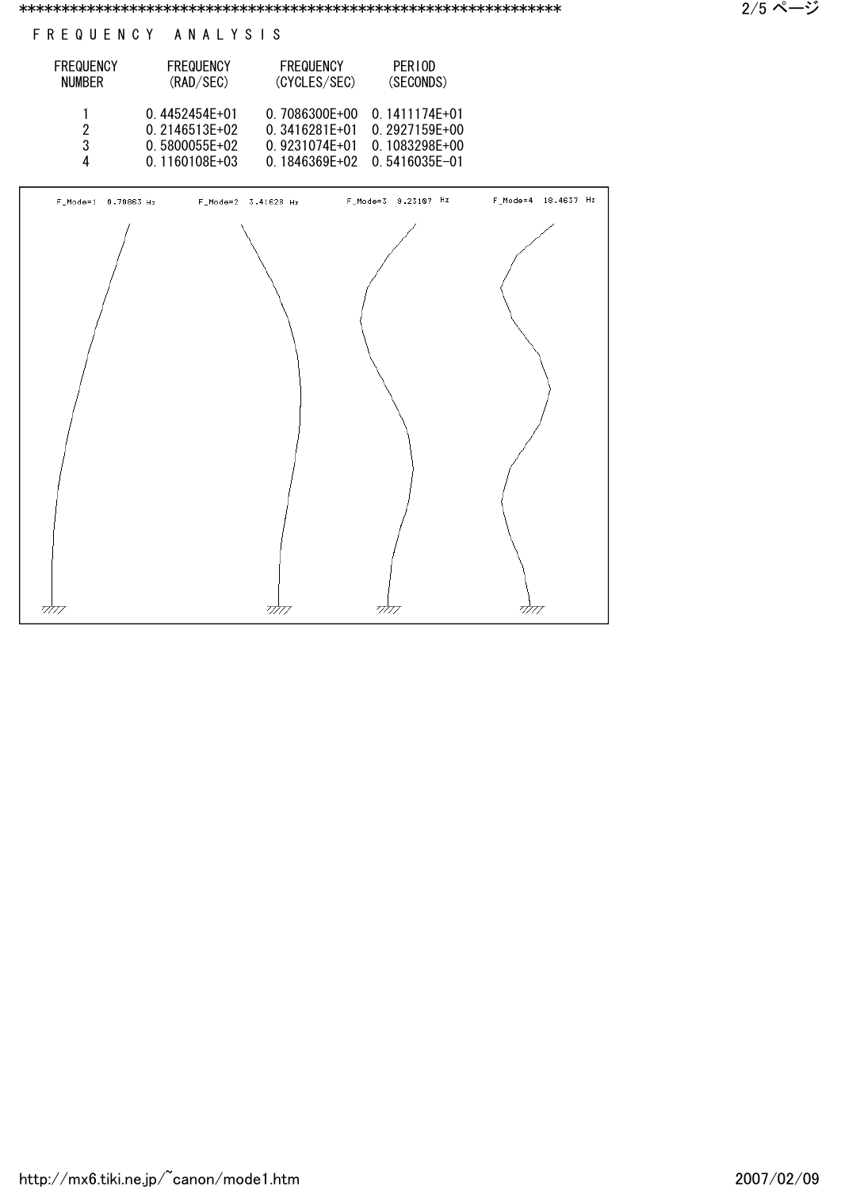## F R E Q U E N C Y A N A L Y S I S

| <b>FREQUENCY</b><br><b>NUMBER</b> | <b>FREQUENCY</b><br>(RAD/SEC) | <b>FREQUENCY</b><br>(CYCLES/SEC) | PER10D<br>(SECONDS) |
|-----------------------------------|-------------------------------|----------------------------------|---------------------|
|                                   | $0.4452454E+01$               | 0.7086300E+00                    | 0.1411174E+01       |
| 2                                 | $0.2146513E+02$               | $0.3416281F+01$                  | 0.2927159E+00       |
| 3                                 | $0.5800055E+02$               | 0.9231074E+01                    | 0.1083298E+00       |
| 4                                 | $0.1160108E + 03$             | $0.1846369E+02$                  | $0.5416035E - 01$   |

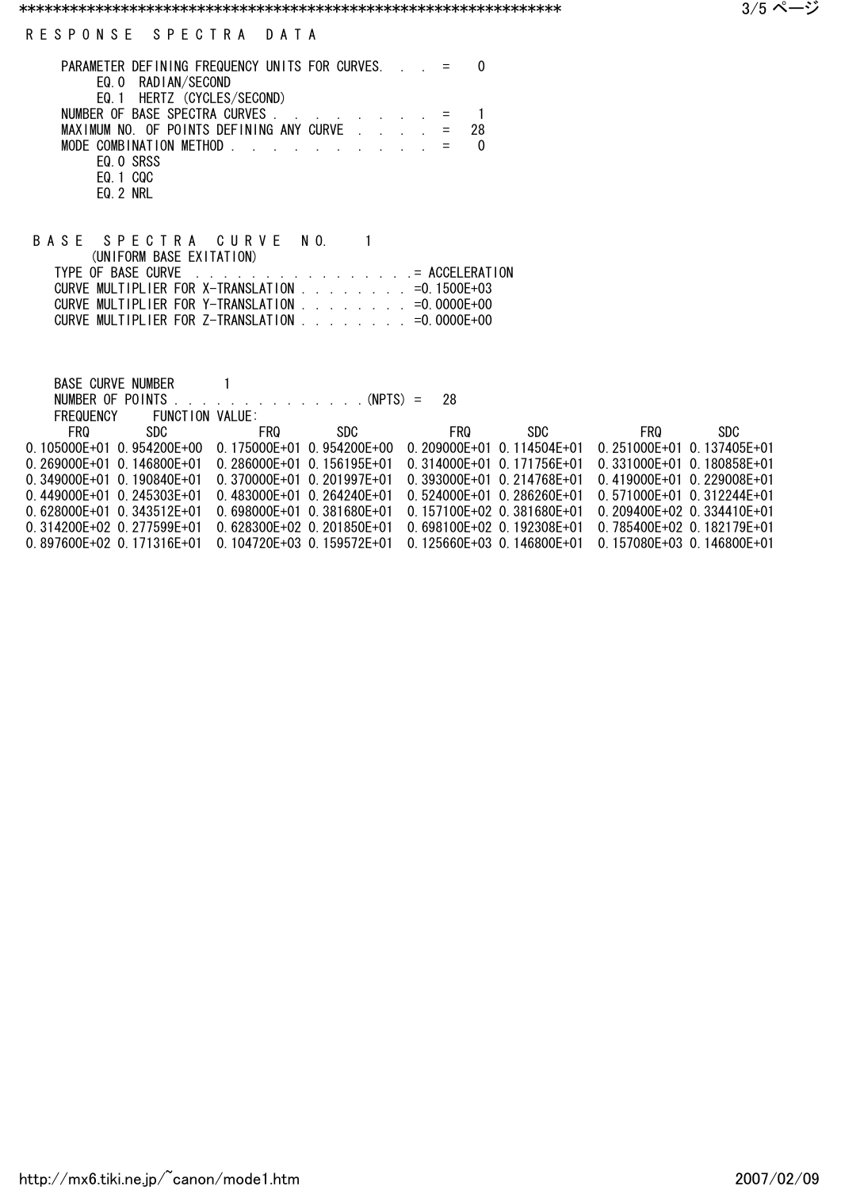| PARAMETER DEFINING FREQUENCY UNITS FOR CURVES. $\cdot$ $=$                    |  |    |  |
|-------------------------------------------------------------------------------|--|----|--|
| EQ. 0 RADIAN/SECOND                                                           |  |    |  |
| EQ. 1 HERTZ (CYCLES/SECOND)                                                   |  |    |  |
|                                                                               |  |    |  |
| MAXIMUM NO. OF POINTS DEFINING ANY CURVE $\cdot$ $\cdot$ $\cdot$ $\cdot$ =    |  | 28 |  |
| MODE COMBINATION METHOD $\cdots$ $\cdots$ $\cdots$ $\cdots$ $\cdots$ $\cdots$ |  |    |  |
| EQ. O SRSS                                                                    |  |    |  |
| EQ. 1 CQC                                                                     |  |    |  |
| EQ 2 NRL                                                                      |  |    |  |

| BASE SPECTRA CURVE NO.                                              |  |
|---------------------------------------------------------------------|--|
| (UNIFORM BASE EXITATION)                                            |  |
|                                                                     |  |
| CURVE MULTIPLIER FOR X-TRANSLATION                                  |  |
| CURVE MULTIPLIER FOR Y-TRANSLATION                                  |  |
| CURVE MULTIPLIER FOR Z-TRANSLATION $\ldots$ , $\ldots$ = 0.0000E+00 |  |

| BASE CURVE NUMBER                                     |                 |                                |               |                                   |      |                                |      |
|-------------------------------------------------------|-----------------|--------------------------------|---------------|-----------------------------------|------|--------------------------------|------|
| NUMBER OF POINTS                                      |                 |                                | . (NPTS) = 28 |                                   |      |                                |      |
| FREQUENCY                                             | FUNCTION VALUE: |                                |               |                                   |      |                                |      |
| FRQ.                                                  | SDC.            | <b>FRQ</b>                     | SDC.          | <b>FRQ</b>                        | SDC. | FRQ.                           | SDC. |
| $0.105000E+01$ 0.954200E+00 0.175000E+01 0.954200E+00 |                 |                                |               | $0.209000E+01$ 0.114504E+01       |      | $0.251000E+01$ 0.137405E+01    |      |
| $0.269000F + 01.01146800F + 01$                       |                 | $0.286000E + 01$ 0.156195E+01  |               | $0.314000E + 01$ $0.171756E + 01$ |      | $0.331000E+01$ 0.180858E+01    |      |
| $0.349000E + 01$ 0.190840E+01                         |                 | $0.370000E + 01$ 0.201997E+01  |               | $0.393000E+01$ 0.214768E+01       |      | 0.419000E+01 0.229008E+01      |      |
| $0.449000E + 01.0.245303E + 01$                       |                 | $0.483000E + 010.264240E + 01$ |               | $0.524000E+01$ 0.286260E+01       |      | $0.571000E + 01$ 0.312244E+01  |      |
| $0.628000E + 01$ 0.343512E+01                         |                 | $0.698000E + 01$ 0.381680E+01  |               | $0.157100F + 02$ 0.381680F+01     |      | $0.209400E+02$ 0.334410E+01    |      |
| $0.314200E+02$ 0.277599E+01                           |                 | $0.628300F + 02$ 0.201850F+01  |               | $0.698100E + 02$ 0.192308E+01     |      | 0.785400E+02 0.182179E+01      |      |
| $0.897600E + 02$ 0.171316E+01                         |                 | $0.104720F + 03$ 0.159572F+01  |               | $0.125660F + 03$ 0.146800F+01     |      | $0.157080F + 030.146800F + 01$ |      |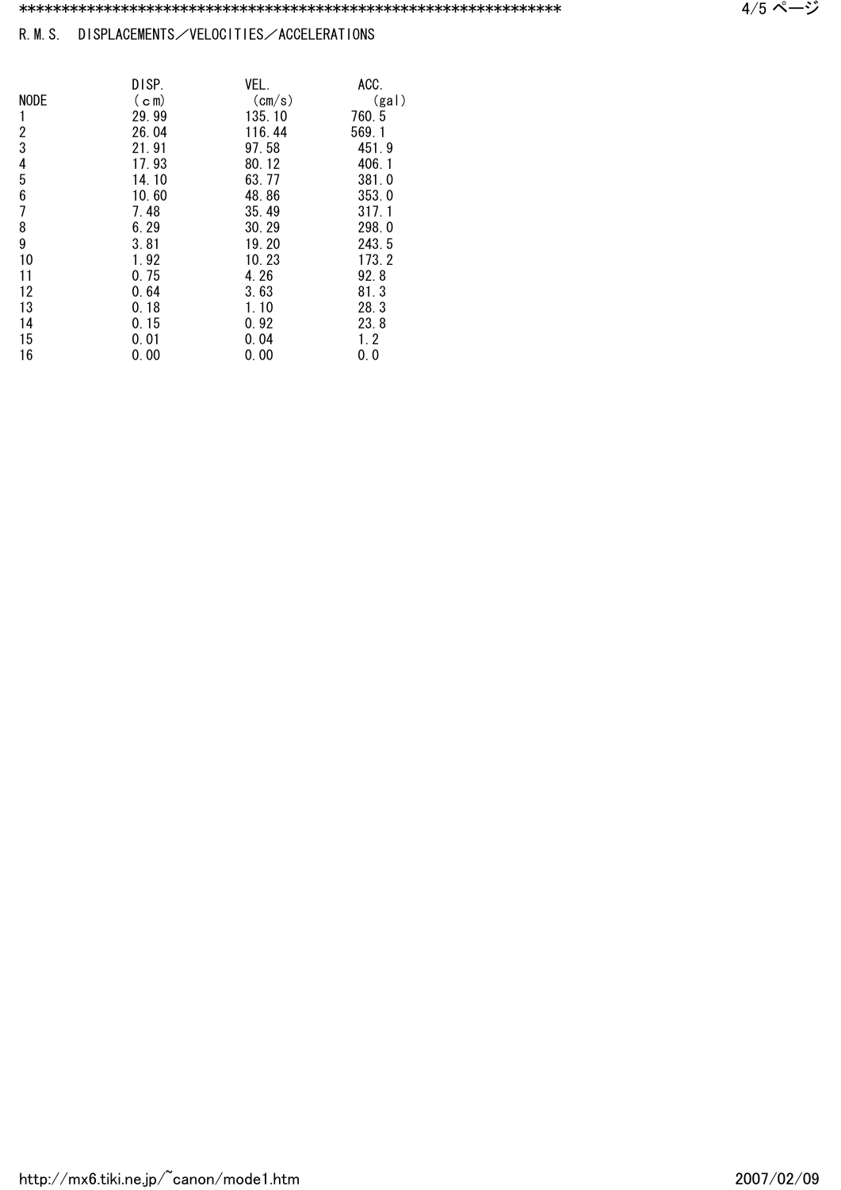## R.M.S. DISPLACEMENTS/VELOCITIES/ACCELERATIONS

|             | DISP.             | VEL.            | ACC.  |
|-------------|-------------------|-----------------|-------|
| <b>NODE</b> | (c <sub>m</sub> ) | $\text{(cm/s)}$ | (gal) |
|             | 29.99             | 135, 10         | 760.5 |
| 2           | 26.04             | 116.44          | 569.1 |
| 3           | 21.91             | 97.58           | 451.9 |
| 4           | 17.93             | 80.12           | 406.1 |
| 5           | 14.10             | 63.77           | 381.0 |
| 6           | 10.60             | 48.86           | 353.0 |
| 7           | 7.48              | 35.49           | 317.1 |
| 8           | 6.29              | 30.29           | 298.0 |
| 9           | 3.81              | 19.20           | 243.5 |
| 10          | 1.92              | 10.23           | 173.2 |
| 11          | 0.75              | 4.26            | 92.8  |
| 12          | 0.64              | 3.63            | 81.3  |
| 13          | 0.18              | 1.10            | 28.3  |
| 14          | 0.15              | 0.92            | 23.8  |
| 15          | 0.01              | 0.04            | 1.2   |
| 16          | 0.00              | 0.00            | 0.0   |